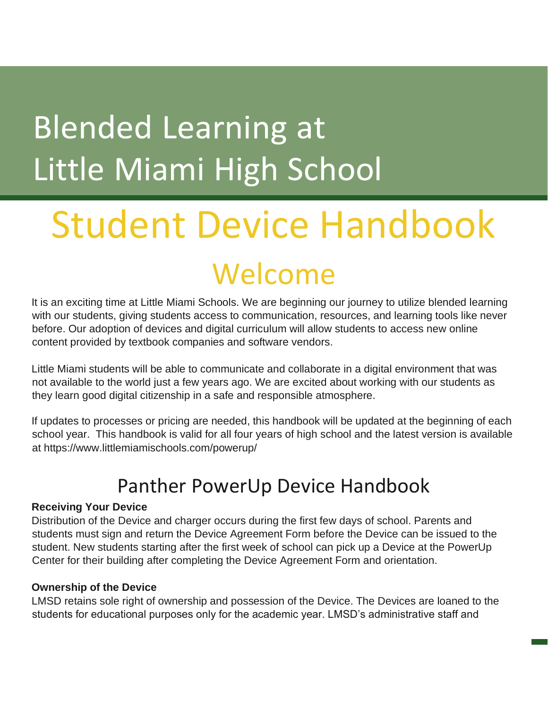## **Blended Learning at** Little Miami High School

# Student Device Handbook

## Welcome

It is an exciting time at Little Miami Schools. We are beginning our journey to utilize blended learning with our students, giving students access to communication, resources, and learning tools like never before. Our adoption of devices and digital curriculum will allow students to access new online content provided by textbook companies and software vendors.

Little Miami students will be able to communicate and collaborate in a digital environment that was not available to the world just a few years ago. We are excited about working with our students as they learn good digital citizenship in a safe and responsible atmosphere.

If updates to processes or pricing are needed, this handbook will be updated at the beginning of each school year. This handbook is valid for all four years of high school and the latest version is available at https://www.littlemiamischools.com/powerup/

### Panther PowerUp Device Handbook

#### **Receiving Your Device**

Distribution of the Device and charger occurs during the first few days of school. Parents and students must sign and return the Device Agreement Form before the Device can be issued to the student. New students starting after the first week of school can pick up a Device at the PowerUp Center for their building after completing the Device Agreement Form and orientation.

#### **Ownership of the Device**

LMSD retains sole right of ownership and possession of the Device. The Devices are loaned to the students for educational purposes only for the academic year. LMSD's administrative staff and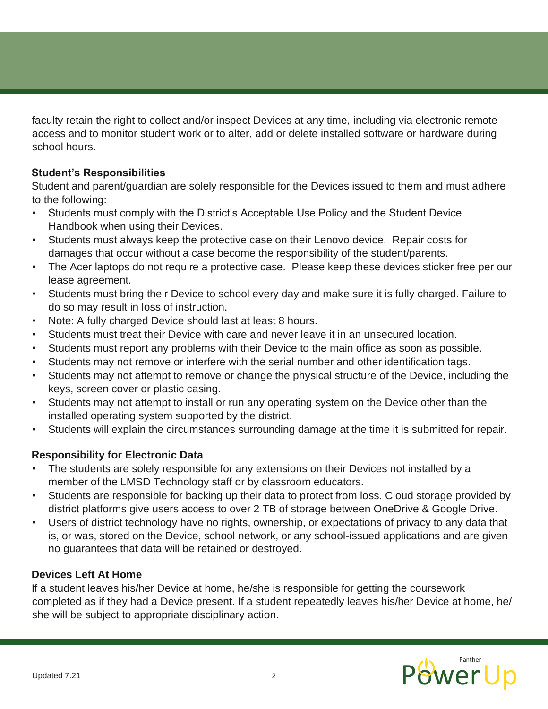faculty retain the right to collect and/or inspect Devices at any time, including via electronic remote access and to monitor student work or to alter, add or delete installed software or hardware during school hours.

#### **Student's Responsibilities**

Student and parent/guardian are solely responsible for the Devices issued to them and must adhere to the following:

- Students must comply with the District's Acceptable Use Policy and the Student Device Handbook when using their Devices.
- Students must always keep the protective case on their Lenovo device. Repair costs for damages that occur without a case become the responsibility of the student/parents.
- The Acer laptops do not require a protective case. Please keep these devices sticker free per our lease agreement.
- Students must bring their Device to school every day and make sure it is fully charged. Failure to do so may result in loss of instruction.
- Note: A fully charged Device should last at least 8 hours.
- Students must treat their Device with care and never leave it in an unsecured location.
- Students must report any problems with their Device to the main office as soon as possible.
- Students may not remove or interfere with the serial number and other identification tags.
- Students may not attempt to remove or change the physical structure of the Device, including the keys, screen cover or plastic casing.
- Students may not attempt to install or run any operating system on the Device other than the installed operating system supported by the district.
- Students will explain the circumstances surrounding damage at the time it is submitted for repair.

#### **Responsibility for Electronic Data**

- The students are solely responsible for any extensions on their Devices not installed by a member of the LMSD Technology staff or by classroom educators.
- Students are responsible for backing up their data to protect from loss. Cloud storage provided by district platforms give users access to over 2 TB of storage between OneDrive & Google Drive.
- Users of district technology have no rights, ownership, or expectations of privacy to any data that is, or was, stored on the Device, school network, or any school-issued applications and are given no guarantees that data will be retained or destroyed.

#### **Devices Left At Home**

If a student leaves his/her Device at home, he/she is responsible for getting the coursework completed as if they had a Device present. If a student repeatedly leaves his/her Device at home, he/ she will be subject to appropriate disciplinary action.

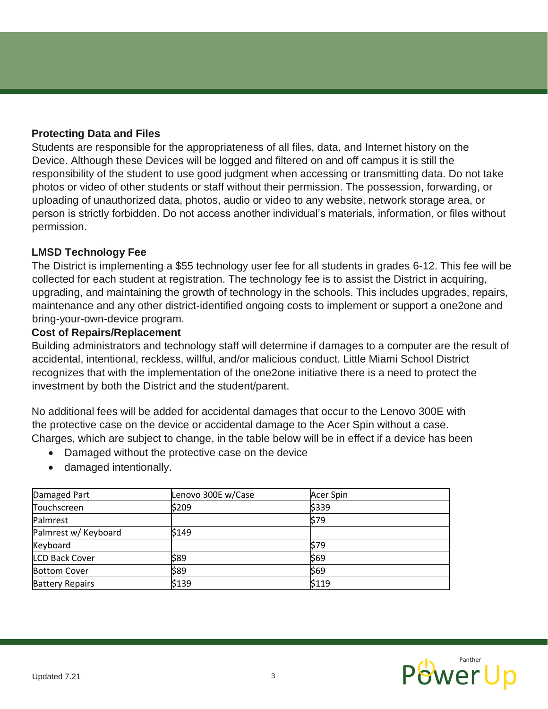#### **Protecting Data and Files**

Students are responsible for the appropriateness of all files, data, and Internet history on the Device. Although these Devices will be logged and filtered on and off campus it is still the responsibility of the student to use good judgment when accessing or transmitting data. Do not take photos or video of other students or staff without their permission. The possession, forwarding, or uploading of unauthorized data, photos, audio or video to any website, network storage area, or person is strictly forbidden. Do not access another individual's materials, information, or files without permission.

#### **LMSD Technology Fee**

The District is implementing a \$55 technology user fee for all students in grades 6-12. This fee will be collected for each student at registration. The technology fee is to assist the District in acquiring, upgrading, and maintaining the growth of technology in the schools. This includes upgrades, repairs, maintenance and any other district-identified ongoing costs to implement or support a one2one and bring-your-own-device program.

#### **Cost of Repairs/Replacement**

Building administrators and technology staff will determine if damages to a computer are the result of accidental, intentional, reckless, willful, and/or malicious conduct. Little Miami School District recognizes that with the implementation of the one2one initiative there is a need to protect the investment by both the District and the student/parent.

No additional fees will be added for accidental damages that occur to the Lenovo 300E with the protective case on the device or accidental damage to the Acer Spin without a case. Charges, which are subject to change, in the table below will be in effect if a device has been

- Damaged without the protective case on the device
- damaged intentionally.

| Damaged Part           | Lenovo 300E w/Case | Acer Spin |  |
|------------------------|--------------------|-----------|--|
| Touchscreen            | \$209              | \$339     |  |
| Palmrest               |                    | \$79      |  |
| Palmrest w/ Keyboard   | \$149              |           |  |
| Keyboard               |                    | l\$79     |  |
| <b>LCD Back Cover</b>  | \$89               | \$69      |  |
| <b>Bottom Cover</b>    | \$89               | \$69      |  |
| <b>Battery Repairs</b> | \$139              | \$119     |  |

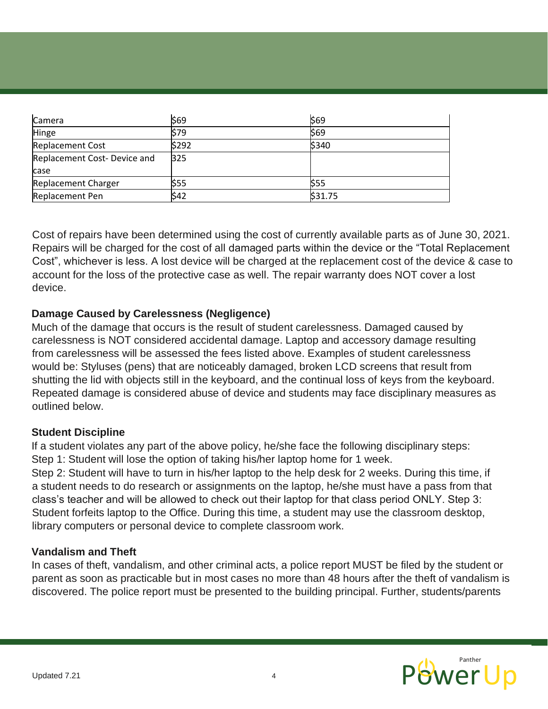| Camera                       | \$69       | \$69       |
|------------------------------|------------|------------|
| Hinge                        | \$79       | \$69       |
| <b>Replacement Cost</b>      | \$292      | \$340      |
| Replacement Cost- Device and | <b>B25</b> |            |
| case                         |            |            |
| Replacement Charger          | \$55       | <b>S55</b> |
| Replacement Pen              | \$42       | \$31.75    |

Cost of repairs have been determined using the cost of currently available parts as of June 30, 2021. Repairs will be charged for the cost of all damaged parts within the device or the "Total Replacement Cost", whichever is less. A lost device will be charged at the replacement cost of the device & case to account for the loss of the protective case as well. The repair warranty does NOT cover a lost device.

#### **Damage Caused by Carelessness (Negligence)**

Much of the damage that occurs is the result of student carelessness. Damaged caused by carelessness is NOT considered accidental damage. Laptop and accessory damage resulting from carelessness will be assessed the fees listed above. Examples of student carelessness would be: Styluses (pens) that are noticeably damaged, broken LCD screens that result from shutting the lid with objects still in the keyboard, and the continual loss of keys from the keyboard. Repeated damage is considered abuse of device and students may face disciplinary measures as outlined below.

#### **Student Discipline**

If a student violates any part of the above policy, he/she face the following disciplinary steps: Step 1: Student will lose the option of taking his/her laptop home for 1 week.

Step 2: Student will have to turn in his/her laptop to the help desk for 2 weeks. During this time, if a student needs to do research or assignments on the laptop, he/she must have a pass from that class's teacher and will be allowed to check out their laptop for that class period ONLY. Step 3: Student forfeits laptop to the Office. During this time, a student may use the classroom desktop, library computers or personal device to complete classroom work.

#### **Vandalism and Theft**

In cases of theft, vandalism, and other criminal acts, a police report MUST be filed by the student or parent as soon as practicable but in most cases no more than 48 hours after the theft of vandalism is discovered. The police report must be presented to the building principal. Further, students/parents

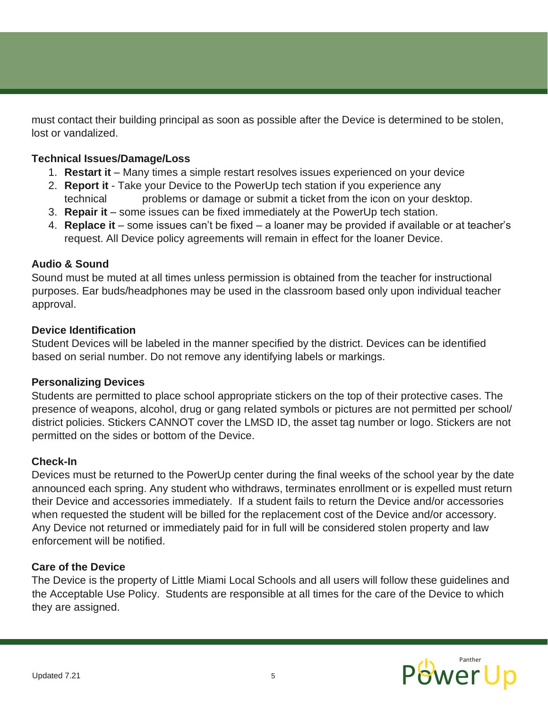must contact their building principal as soon as possible after the Device is determined to be stolen, lost or vandalized.

#### **Technical Issues/Damage/Loss**

- 1. **Restart it** Many times a simple restart resolves issues experienced on your device
- 2. **Report it** Take your Device to the PowerUp tech station if you experience any technical problems or damage or submit a ticket from the icon on your desktop.
- 3. **Repair it** some issues can be fixed immediately at the PowerUp tech station.
- 4. **Replace it** some issues can't be fixed a loaner may be provided if available or at teacher's request. All Device policy agreements will remain in effect for the loaner Device.

#### **Audio & Sound**

Sound must be muted at all times unless permission is obtained from the teacher for instructional purposes. Ear buds/headphones may be used in the classroom based only upon individual teacher approval.

#### **Device Identification**

Student Devices will be labeled in the manner specified by the district. Devices can be identified based on serial number. Do not remove any identifying labels or markings.

#### **Personalizing Devices**

Students are permitted to place school appropriate stickers on the top of their protective cases. The presence of weapons, alcohol, drug or gang related symbols or pictures are not permitted per school/ district policies. Stickers CANNOT cover the LMSD ID, the asset tag number or logo. Stickers are not permitted on the sides or bottom of the Device.

#### **Check-In**

Devices must be returned to the PowerUp center during the final weeks of the school year by the date announced each spring. Any student who withdraws, terminates enrollment or is expelled must return their Device and accessories immediately. If a student fails to return the Device and/or accessories when requested the student will be billed for the replacement cost of the Device and/or accessory. Any Device not returned or immediately paid for in full will be considered stolen property and law enforcement will be notified.

#### **Care of the Device**

The Device is the property of Little Miami Local Schools and all users will follow these guidelines and the Acceptable Use Policy. Students are responsible at all times for the care of the Device to which they are assigned.

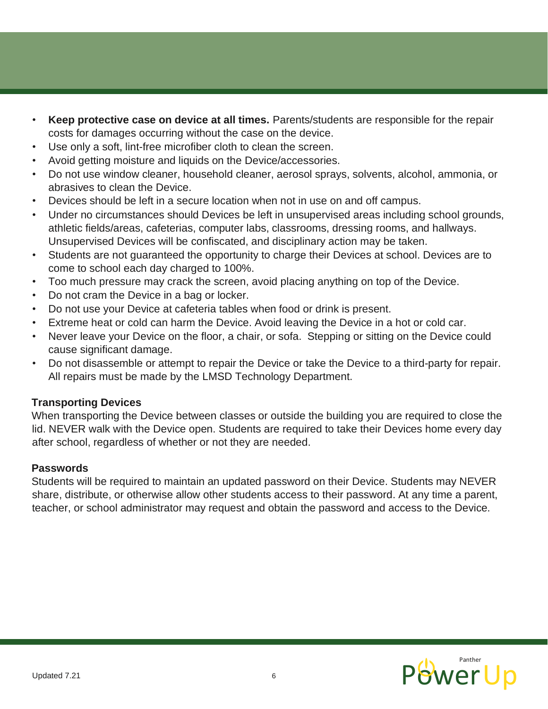- **Keep protective case on device at all times.** Parents/students are responsible for the repair costs for damages occurring without the case on the device.
- Use only a soft, lint-free microfiber cloth to clean the screen.
- Avoid getting moisture and liquids on the Device/accessories.
- Do not use window cleaner, household cleaner, aerosol sprays, solvents, alcohol, ammonia, or abrasives to clean the Device.
- Devices should be left in a secure location when not in use on and off campus.
- Under no circumstances should Devices be left in unsupervised areas including school grounds, athletic fields/areas, cafeterias, computer labs, classrooms, dressing rooms, and hallways. Unsupervised Devices will be confiscated, and disciplinary action may be taken.
- Students are not guaranteed the opportunity to charge their Devices at school. Devices are to come to school each day charged to 100%.
- Too much pressure may crack the screen, avoid placing anything on top of the Device.
- Do not cram the Device in a bag or locker.
- Do not use your Device at cafeteria tables when food or drink is present.
- Extreme heat or cold can harm the Device. Avoid leaving the Device in a hot or cold car.
- Never leave your Device on the floor, a chair, or sofa. Stepping or sitting on the Device could cause significant damage.
- Do not disassemble or attempt to repair the Device or take the Device to a third-party for repair. All repairs must be made by the LMSD Technology Department.

#### **Transporting Devices**

When transporting the Device between classes or outside the building you are required to close the lid. NEVER walk with the Device open. Students are required to take their Devices home every day after school, regardless of whether or not they are needed.

#### **Passwords**

Students will be required to maintain an updated password on their Device. Students may NEVER share, distribute, or otherwise allow other students access to their password. At any time a parent, teacher, or school administrator may request and obtain the password and access to the Device.